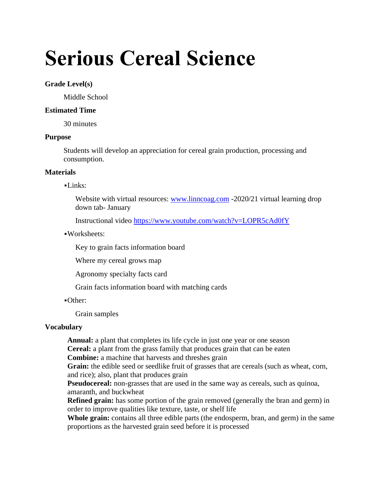# **Serious Cereal Science**

## **Grade Level(s)**

Middle School

## **Estimated Time**

30 minutes

## **Purpose**

Students will develop an appreciation for cereal grain production, processing and consumption.

## **Materials**

## $-Links:$

Website with virtual resources: [www.linncoag.com](http://www.linncoag.com/) -2020/21 virtual learning drop down tab- January

Instructional video <https://www.youtube.com/watch?v=LOPR5cAd0fY>

▪Worksheets:

Key to grain facts information board

Where my cereal grows map

Agronomy specialty facts card

Grain facts information board with matching cards

▪Other:

Grain samples

# **Vocabulary**

**Annual:** a plant that completes its life cycle in just one year or one season **Cereal:** a plant from the grass family that produces grain that can be eaten **Combine:** a machine that harvests and threshes grain

**Grain:** the edible seed or seedlike fruit of grasses that are cereals (such as wheat, corn, and rice); also, plant that produces grain

**Pseudocereal:** non-grasses that are used in the same way as cereals, such as quinoa, amaranth, and buckwheat

**Refined grain:** has some portion of the grain removed (generally the bran and germ) in order to improve qualities like texture, taste, or shelf life

**Whole grain:** contains all three edible parts (the endosperm, bran, and germ) in the same proportions as the harvested grain seed before it is processed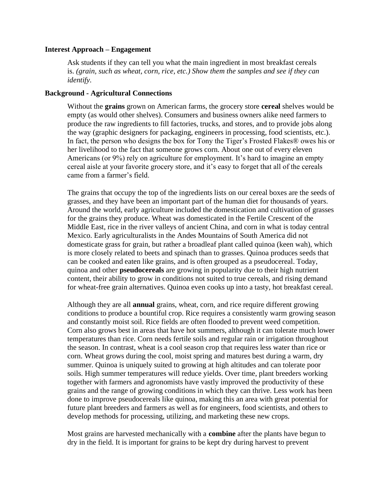#### **Interest Approach – Engagement**

Ask students if they can tell you what the main ingredient in most breakfast cereals is. *(grain, such as wheat, corn, rice, etc.) Show them the samples and see if they can identify.* 

#### **Background - Agricultural Connections**

Without the **grains** grown on American farms, the grocery store **cereal** shelves would be empty (as would other shelves). Consumers and business owners alike need farmers to produce the raw ingredients to fill factories, trucks, and stores, and to provide jobs along the way (graphic designers for packaging, engineers in processing, food scientists, etc.). In fact, the person who designs the box for Tony the Tiger's Frosted Flakes® owes his or her livelihood to the fact that someone grows corn. About one out of every eleven Americans (or 9%) rely on agriculture for employment. It's hard to imagine an empty cereal aisle at your favorite grocery store, and it's easy to forget that all of the cereals came from a farmer's field.

The grains that occupy the top of the ingredients lists on our cereal boxes are the seeds of grasses, and they have been an important part of the human diet for thousands of years. Around the world, early agriculture included the domestication and cultivation of grasses for the grains they produce. Wheat was domesticated in the Fertile Crescent of the Middle East, rice in the river valleys of ancient China, and corn in what is today central Mexico. Early agriculturalists in the Andes Mountains of South America did not domesticate grass for grain, but rather a broadleaf plant called quinoa (keen wah), which is more closely related to beets and spinach than to grasses. Quinoa produces seeds that can be cooked and eaten like grains, and is often grouped as a pseudocereal. Today, quinoa and other **pseudocereals** are growing in popularity due to their high nutrient content, their ability to grow in conditions not suited to true cereals, and rising demand for wheat-free grain alternatives. Quinoa even cooks up into a tasty, hot breakfast cereal.

Although they are all **annual** grains, wheat, corn, and rice require different growing conditions to produce a bountiful crop. Rice requires a consistently warm growing season and constantly moist soil. Rice fields are often flooded to prevent weed competition. Corn also grows best in areas that have hot summers, although it can tolerate much lower temperatures than rice. Corn needs fertile soils and regular rain or irrigation throughout the season. In contrast, wheat is a cool season crop that requires less water than rice or corn. Wheat grows during the cool, moist spring and matures best during a warm, dry summer. Quinoa is uniquely suited to growing at high altitudes and can tolerate poor soils. High summer temperatures will reduce yields. Over time, plant breeders working together with farmers and agronomists have vastly improved the productivity of these grains and the range of growing conditions in which they can thrive. Less work has been done to improve pseudocereals like quinoa, making this an area with great potential for future plant breeders and farmers as well as for engineers, food scientists, and others to develop methods for processing, utilizing, and marketing these new crops.

Most grains are harvested mechanically with a **combine** after the plants have begun to dry in the field. It is important for grains to be kept dry during harvest to prevent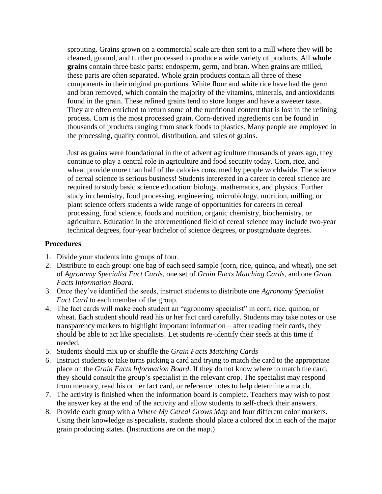sprouting. Grains grown on a commercial scale are then sent to a mill where they will be cleaned, ground, and further processed to produce a wide variety of products. All **whole grains** contain three basic parts: endosperm, germ, and bran. When grains are milled, these parts are often separated. Whole grain products contain all three of these components in their original proportions. White flour and white rice have had the germ and bran removed, which contain the majority of the vitamins, minerals, and antioxidants found in the grain. These refined grains tend to store longer and have a sweeter taste. They are often enriched to return some of the nutritional content that is lost in the refining process. Corn is the most processed grain. Corn-derived ingredients can be found in thousands of products ranging from snack foods to plastics. Many people are employed in the processing, quality control, distribution, and sales of grains.

Just as grains were foundational in the of advent agriculture thousands of years ago, they continue to play a central role in agriculture and food security today. Corn, rice, and wheat provide more than half of the calories consumed by people worldwide. The science of cereal science is serious business! Students interested in a career in cereal science are required to study basic science education: biology, mathematics, and physics. Further study in chemistry, food processing, engineering, microbiology, nutrition, milling, or plant science offers students a wide range of opportunities for careers in cereal processing, food science, foods and nutrition, organic chemistry, biochemistry, or agriculture. Education in the aforementioned field of cereal science may include two-year technical degrees, four-year bachelor of science degrees, or postgraduate degrees.

# **Procedures**

- 1. Divide your students into groups of four.
- 2. Distribute to each group: one bag of each seed sample (corn, rice, quinoa, and wheat), one set of *Agronomy Specialist Fact Cards*, one set of *Grain Facts Matching Cards*, and one *Grain Facts Information Board*.
- 3. Once they've identified the seeds, instruct students to distribute one *Agronomy Specialist Fact Card* to each member of the group.
- 4. The fact cards will make each student an "agronomy specialist" in corn, rice, quinoa, or wheat. Each student should read his or her fact card carefully. Students may take notes or use transparency markers to highlight important information—after reading their cards, they should be able to act like specialists! Let students re-identify their seeds at this time if needed.
- 5. Students should mix up or shuffle the *Grain Facts Matching Cards*
- 6. Instruct students to take turns picking a card and trying to match the card to the appropriate place on the *Grain Facts Information Board*. If they do not know where to match the card, they should consult the group's specialist in the relevant crop. The specialist may respond from memory, read his or her fact card, or reference notes to help determine a match.
- 7. The activity is finished when the information board is complete. Teachers may wish to post the answer key at the end of the activity and allow students to self-check their answers.
- 8. Provide each group with a *Where My Cereal Grows Map* and four different color markers. Using their knowledge as specialists, students should place a colored dot in each of the major grain producing states. (Instructions are on the map.)